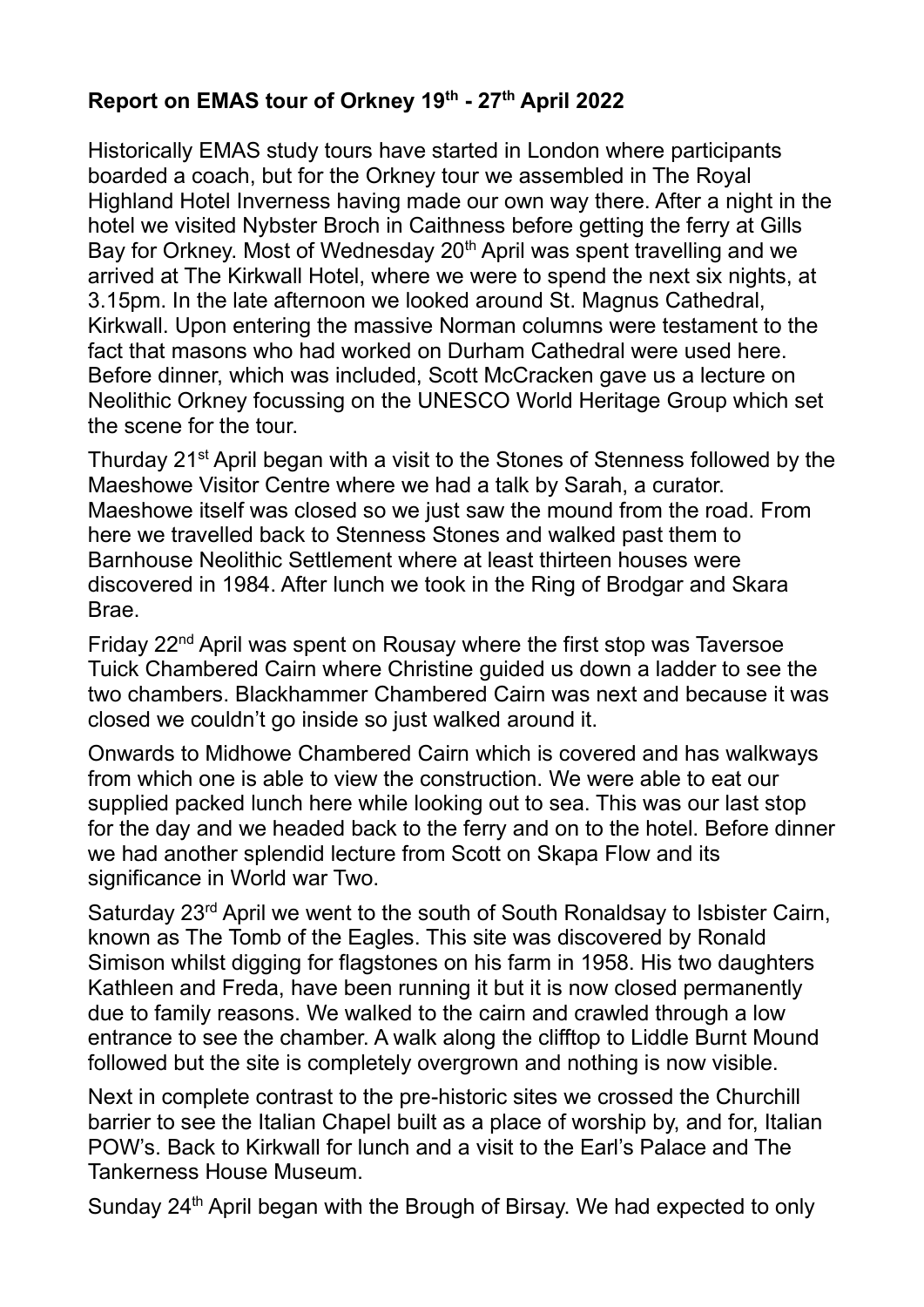## **Report on EMAS tour of Orkney 19th - 27th April 2022**

Historically EMAS study tours have started in London where participants boarded a coach, but for the Orkney tour we assembled in The Royal Highland Hotel Inverness having made our own way there. After a night in the hotel we visited Nybster Broch in Caithness before getting the ferry at Gills Bay for Orkney. Most of Wednesday 20<sup>th</sup> April was spent travelling and we arrived at The Kirkwall Hotel, where we were to spend the next six nights, at 3.15pm. In the late afternoon we looked around St. Magnus Cathedral, Kirkwall. Upon entering the massive Norman columns were testament to the fact that masons who had worked on Durham Cathedral were used here. Before dinner, which was included, Scott McCracken gave us a lecture on Neolithic Orkney focussing on the UNESCO World Heritage Group which set the scene for the tour.

Thurday 21<sup>st</sup> April began with a visit to the Stones of Stenness followed by the Maeshowe Visitor Centre where we had a talk by Sarah, a curator. Maeshowe itself was closed so we just saw the mound from the road. From here we travelled back to Stenness Stones and walked past them to Barnhouse Neolithic Settlement where at least thirteen houses were discovered in 1984. After lunch we took in the Ring of Brodgar and Skara Brae.

Friday 22nd April was spent on Rousay where the first stop was Taversoe Tuick Chambered Cairn where Christine guided us down a ladder to see the two chambers. Blackhammer Chambered Cairn was next and because it was closed we couldn't go inside so just walked around it.

Onwards to Midhowe Chambered Cairn which is covered and has walkways from which one is able to view the construction. We were able to eat our supplied packed lunch here while looking out to sea. This was our last stop for the day and we headed back to the ferry and on to the hotel. Before dinner we had another splendid lecture from Scott on Skapa Flow and its significance in World war Two.

Saturday 23rd April we went to the south of South Ronaldsay to Isbister Cairn, known as The Tomb of the Eagles. This site was discovered by Ronald Simison whilst digging for flagstones on his farm in 1958. His two daughters Kathleen and Freda, have been running it but it is now closed permanently due to family reasons. We walked to the cairn and crawled through a low entrance to see the chamber. A walk along the clifftop to Liddle Burnt Mound followed but the site is completely overgrown and nothing is now visible.

Next in complete contrast to the pre-historic sites we crossed the Churchill barrier to see the Italian Chapel built as a place of worship by, and for, Italian POW's. Back to Kirkwall for lunch and a visit to the Earl's Palace and The Tankerness House Museum.

Sunday 24<sup>th</sup> April began with the Brough of Birsay. We had expected to only